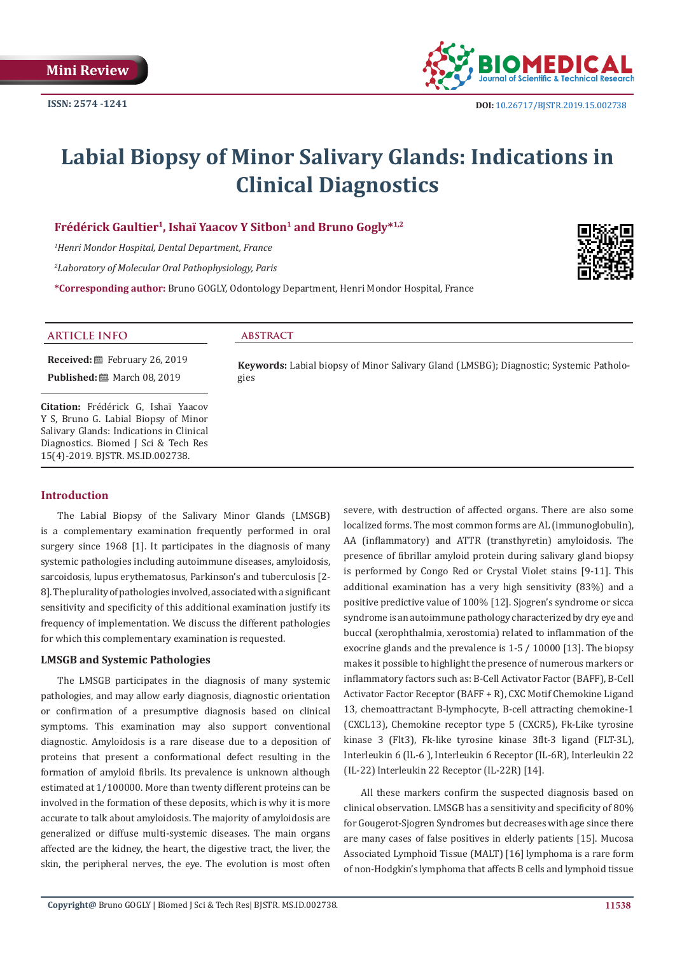

# **Labial Biopsy of Minor Salivary Glands: Indications in Clinical Diagnostics**

## Frédérick Gaultier<sup>1</sup>, Ishaï Yaacov Y Sitbon<sup>1</sup> and Bruno Gogly<sup>\*1,2</sup>

*1 Henri Mondor Hospital, Dental Department, France*

*2 Laboratory of Molecular Oral Pathophysiology, Paris*

**\*Corresponding author:** Bruno GOGLY, Odontology Department, Henri Mondor Hospital, France



#### **ARTICLE INFO abstract**

**Received:** February 26, 2019 **Published:** ■ March 08, 2019

**Citation:** Frédérick G, Ishaï Yaacov Y S, Bruno G. Labial Biopsy of Minor Salivary Glands: Indications in Clinical Diagnostics. Biomed J Sci & Tech Res 15(4)-2019. BJSTR. MS.ID.002738.

#### **Keywords:** Labial biopsy of Minor Salivary Gland (LMSBG); Diagnostic; Systemic Pathologies

## **Introduction**

The Labial Biopsy of the Salivary Minor Glands (LMSGB) is a complementary examination frequently performed in oral surgery since 1968 [1]. It participates in the diagnosis of many systemic pathologies including autoimmune diseases, amyloidosis, sarcoidosis, lupus erythematosus, Parkinson's and tuberculosis [2- 8]. The plurality of pathologies involved, associated with a significant sensitivity and specificity of this additional examination justify its frequency of implementation. We discuss the different pathologies for which this complementary examination is requested.

#### **LMSGB and Systemic Pathologies**

The LMSGB participates in the diagnosis of many systemic pathologies, and may allow early diagnosis, diagnostic orientation or confirmation of a presumptive diagnosis based on clinical symptoms. This examination may also support conventional diagnostic. Amyloidosis is a rare disease due to a deposition of proteins that present a conformational defect resulting in the formation of amyloid fibrils. Its prevalence is unknown although estimated at 1/100000. More than twenty different proteins can be involved in the formation of these deposits, which is why it is more accurate to talk about amyloidosis. The majority of amyloidosis are generalized or diffuse multi-systemic diseases. The main organs affected are the kidney, the heart, the digestive tract, the liver, the skin, the peripheral nerves, the eye. The evolution is most often

severe, with destruction of affected organs. There are also some localized forms. The most common forms are AL (immunoglobulin), AA (inflammatory) and ATTR (transthyretin) amyloidosis. The presence of fibrillar amyloid protein during salivary gland biopsy is performed by Congo Red or Crystal Violet stains [9-11]. This additional examination has a very high sensitivity (83%) and a positive predictive value of 100% [12]. Sjogren's syndrome or sicca syndrome is an autoimmune pathology characterized by dry eye and buccal (xerophthalmia, xerostomia) related to inflammation of the exocrine glands and the prevalence is 1-5 / 10000 [13]. The biopsy makes it possible to highlight the presence of numerous markers or inflammatory factors such as: B-Cell Activator Factor (BAFF), B-Cell Activator Factor Receptor (BAFF + R), CXC Motif Chemokine Ligand 13, chemoattractant B-lymphocyte, B-cell attracting chemokine-1 (CXCL13), Chemokine receptor type 5 (CXCR5), Fk-Like tyrosine kinase 3 (Flt3), Fk-like tyrosine kinase 3flt-3 ligand (FLT-3L), Interleukin 6 (IL-6 ), Interleukin 6 Receptor (IL-6R), Interleukin 22 (IL-22) Interleukin 22 Receptor (IL-22R) [14].

All these markers confirm the suspected diagnosis based on clinical observation. LMSGB has a sensitivity and specificity of 80% for Gougerot-Sjogren Syndromes but decreases with age since there are many cases of false positives in elderly patients [15]. Mucosa Associated Lymphoid Tissue (MALT) [16] lymphoma is a rare form of non-Hodgkin's lymphoma that affects B cells and lymphoid tissue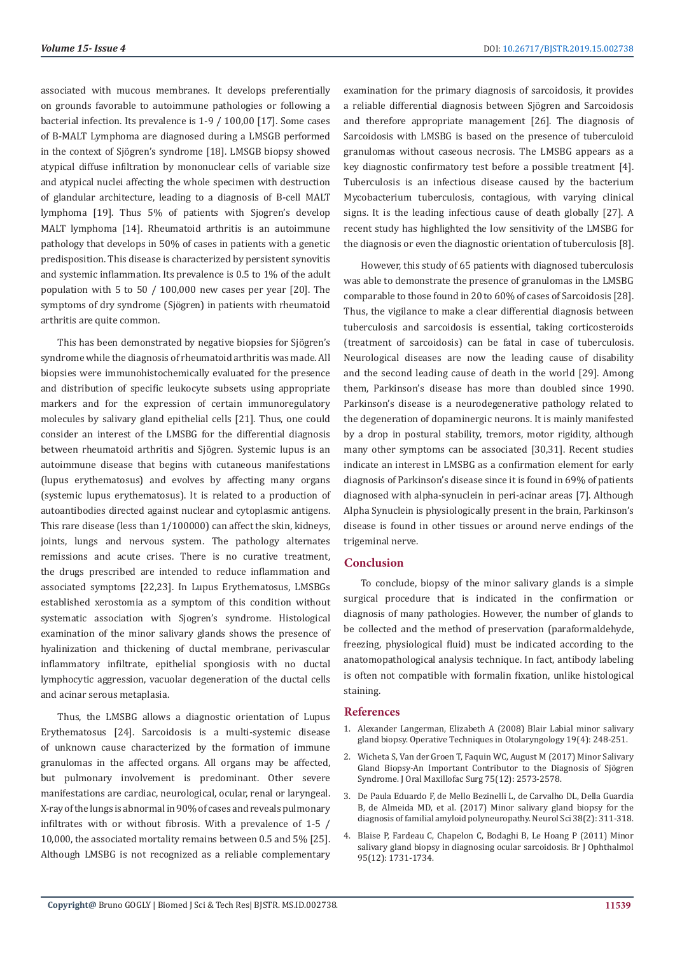associated with mucous membranes. It develops preferentially on grounds favorable to autoimmune pathologies or following a bacterial infection. Its prevalence is 1-9 / 100,00 [17]. Some cases of B-MALT Lymphoma are diagnosed during a LMSGB performed in the context of Sjögren's syndrome [18]. LMSGB biopsy showed atypical diffuse infiltration by mononuclear cells of variable size and atypical nuclei affecting the whole specimen with destruction of glandular architecture, leading to a diagnosis of B-cell MALT lymphoma [19]. Thus 5% of patients with Sjogren's develop MALT lymphoma [14]. Rheumatoid arthritis is an autoimmune pathology that develops in 50% of cases in patients with a genetic predisposition. This disease is characterized by persistent synovitis and systemic inflammation. Its prevalence is 0.5 to 1% of the adult population with 5 to 50 / 100,000 new cases per year [20]. The symptoms of dry syndrome (Sjögren) in patients with rheumatoid arthritis are quite common.

This has been demonstrated by negative biopsies for Sjögren's syndrome while the diagnosis of rheumatoid arthritis was made. All biopsies were immunohistochemically evaluated for the presence and distribution of specific leukocyte subsets using appropriate markers and for the expression of certain immunoregulatory molecules by salivary gland epithelial cells [21]. Thus, one could consider an interest of the LMSBG for the differential diagnosis between rheumatoid arthritis and Sjögren. Systemic lupus is an autoimmune disease that begins with cutaneous manifestations (lupus erythematosus) and evolves by affecting many organs (systemic lupus erythematosus). It is related to a production of autoantibodies directed against nuclear and cytoplasmic antigens. This rare disease (less than 1/100000) can affect the skin, kidneys, joints, lungs and nervous system. The pathology alternates remissions and acute crises. There is no curative treatment, the drugs prescribed are intended to reduce inflammation and associated symptoms [22,23]. In Lupus Erythematosus, LMSBGs established xerostomia as a symptom of this condition without systematic association with Sjogren's syndrome. Histological examination of the minor salivary glands shows the presence of hyalinization and thickening of ductal membrane, perivascular inflammatory infiltrate, epithelial spongiosis with no ductal lymphocytic aggression, vacuolar degeneration of the ductal cells and acinar serous metaplasia.

Thus, the LMSBG allows a diagnostic orientation of Lupus Erythematosus [24]. Sarcoidosis is a multi-systemic disease of unknown cause characterized by the formation of immune granulomas in the affected organs. All organs may be affected, but pulmonary involvement is predominant. Other severe manifestations are cardiac, neurological, ocular, renal or laryngeal. X-ray of the lungs is abnormal in 90% of cases and reveals pulmonary infiltrates with or without fibrosis. With a prevalence of 1-5 / 10,000, the associated mortality remains between 0.5 and 5% [25]. Although LMSBG is not recognized as a reliable complementary

examination for the primary diagnosis of sarcoidosis, it provides a reliable differential diagnosis between Sjögren and Sarcoidosis and therefore appropriate management [26]. The diagnosis of Sarcoidosis with LMSBG is based on the presence of tuberculoid granulomas without caseous necrosis. The LMSBG appears as a key diagnostic confirmatory test before a possible treatment [4]. Tuberculosis is an infectious disease caused by the bacterium Mycobacterium tuberculosis, contagious, with varying clinical signs. It is the leading infectious cause of death globally [27]. A recent study has highlighted the low sensitivity of the LMSBG for the diagnosis or even the diagnostic orientation of tuberculosis [8].

However, this study of 65 patients with diagnosed tuberculosis was able to demonstrate the presence of granulomas in the LMSBG comparable to those found in 20 to 60% of cases of Sarcoidosis [28]. Thus, the vigilance to make a clear differential diagnosis between tuberculosis and sarcoidosis is essential, taking corticosteroids (treatment of sarcoidosis) can be fatal in case of tuberculosis. Neurological diseases are now the leading cause of disability and the second leading cause of death in the world [29]. Among them, Parkinson's disease has more than doubled since 1990. Parkinson's disease is a neurodegenerative pathology related to the degeneration of dopaminergic neurons. It is mainly manifested by a drop in postural stability, tremors, motor rigidity, although many other symptoms can be associated [30,31]. Recent studies indicate an interest in LMSBG as a confirmation element for early diagnosis of Parkinson's disease since it is found in 69% of patients diagnosed with alpha-synuclein in peri-acinar areas [7]. Although Alpha Synuclein is physiologically present in the brain, Parkinson's disease is found in other tissues or around nerve endings of the trigeminal nerve.

### **Conclusion**

To conclude, biopsy of the minor salivary glands is a simple surgical procedure that is indicated in the confirmation or diagnosis of many pathologies. However, the number of glands to be collected and the method of preservation (paraformaldehyde, freezing, physiological fluid) must be indicated according to the anatomopathological analysis technique. In fact, antibody labeling is often not compatible with formalin fixation, unlike histological staining.

#### **References**

- 1. Alexander Langerman, Elizabeth A (2008) Blair Labial minor salivary gland biopsy. Operative Techniques in Otolaryngology 19(4): 248-251.
- 2. Wicheta S, Van der Groen T, Faquin WC, August M (2017) Minor Salivary Gland Biopsy-An Important Contributor to the Diagnosis of Sjögren Syndrome. J Oral Maxillofac Surg 75(12): 2573-2578.
- 3. De Paula Eduardo F, de Mello Bezinelli L, de Carvalho DL, Della Guardia B, de Almeida MD, et al. (2017) Minor salivary gland biopsy for the diagnosis of familial amyloid polyneuropathy. Neurol Sci 38(2): 311-318.
- 4. Blaise P, Fardeau C, Chapelon C, Bodaghi B, Le Hoang P (2011) Minor salivary gland biopsy in diagnosing ocular sarcoidosis. Br J Ophthalmol 95(12): 1731-1734.